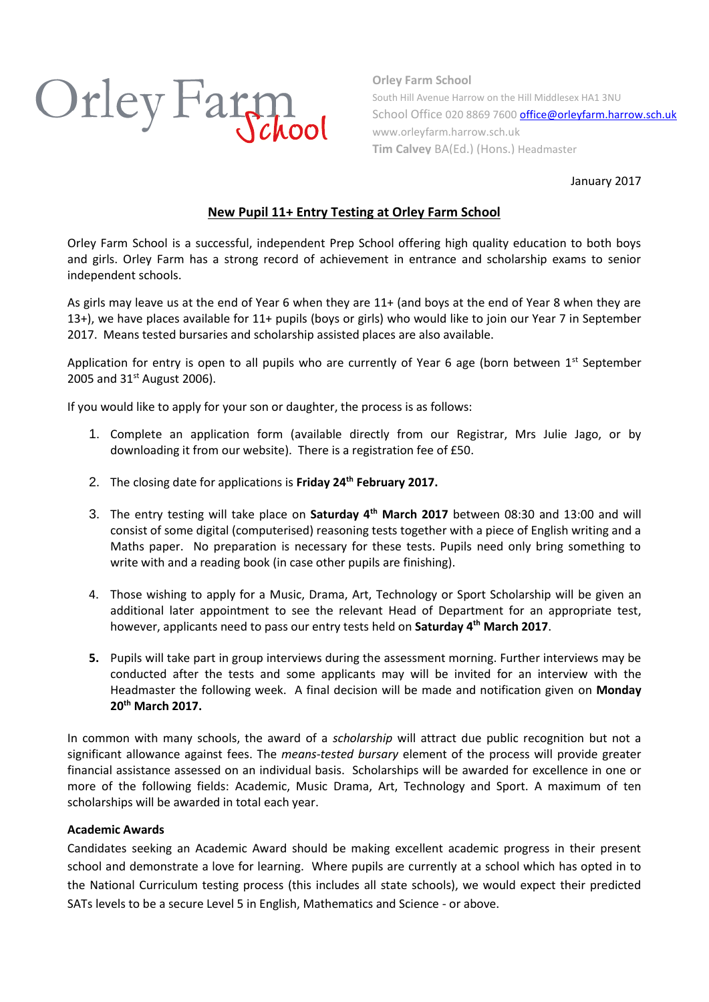

**Orley Farm School** South Hill Avenue Harrow on the Hill Middlesex HA1 3NU School Office 020 8869 760[0 office@orleyfarm.harrow.sch.uk](mailto:office@orleyfarm.harrow.sch.uk) www.orleyfarm.harrow.sch.uk **Tim Calvey** BA(Ed.) (Hons.) Headmaster

January 2017

# **New Pupil 11+ Entry Testing at Orley Farm School**

Orley Farm School is a successful, independent Prep School offering high quality education to both boys and girls. Orley Farm has a strong record of achievement in entrance and scholarship exams to senior independent schools.

As girls may leave us at the end of Year 6 when they are 11+ (and boys at the end of Year 8 when they are 13+), we have places available for 11+ pupils (boys or girls) who would like to join our Year 7 in September 2017. Means tested bursaries and scholarship assisted places are also available.

Application for entry is open to all pupils who are currently of Year 6 age (born between  $1<sup>st</sup>$  September 2005 and  $31^{st}$  August 2006).

If you would like to apply for your son or daughter, the process is as follows:

- 1. Complete an application form (available directly from our Registrar, Mrs Julie Jago, or by downloading it from our website). There is a registration fee of £50.
- 2. The closing date for applications is **Friday 24 th February 2017.**
- 3. The entry testing will take place on **Saturday 4 th March 2017** between 08:30 and 13:00 and will consist of some digital (computerised) reasoning tests together with a piece of English writing and a Maths paper. No preparation is necessary for these tests. Pupils need only bring something to write with and a reading book (in case other pupils are finishing).
- 4. Those wishing to apply for a Music, Drama, Art, Technology or Sport Scholarship will be given an additional later appointment to see the relevant Head of Department for an appropriate test, however, applicants need to pass our entry tests held on **Saturday 4 th March 2017**.
- **5.** Pupils will take part in group interviews during the assessment morning. Further interviews may be conducted after the tests and some applicants may will be invited for an interview with the Headmaster the following week. A final decision will be made and notification given on **Monday 20th March 2017.**

In common with many schools, the award of a *scholarship* will attract due public recognition but not a significant allowance against fees. The *means-tested bursary* element of the process will provide greater financial assistance assessed on an individual basis. Scholarships will be awarded for excellence in one or more of the following fields: Academic, Music Drama, Art, Technology and Sport. A maximum of ten scholarships will be awarded in total each year.

## **Academic Awards**

Candidates seeking an Academic Award should be making excellent academic progress in their present school and demonstrate a love for learning. Where pupils are currently at a school which has opted in to the National Curriculum testing process (this includes all state schools), we would expect their predicted SATs levels to be a secure Level 5 in English, Mathematics and Science - or above.